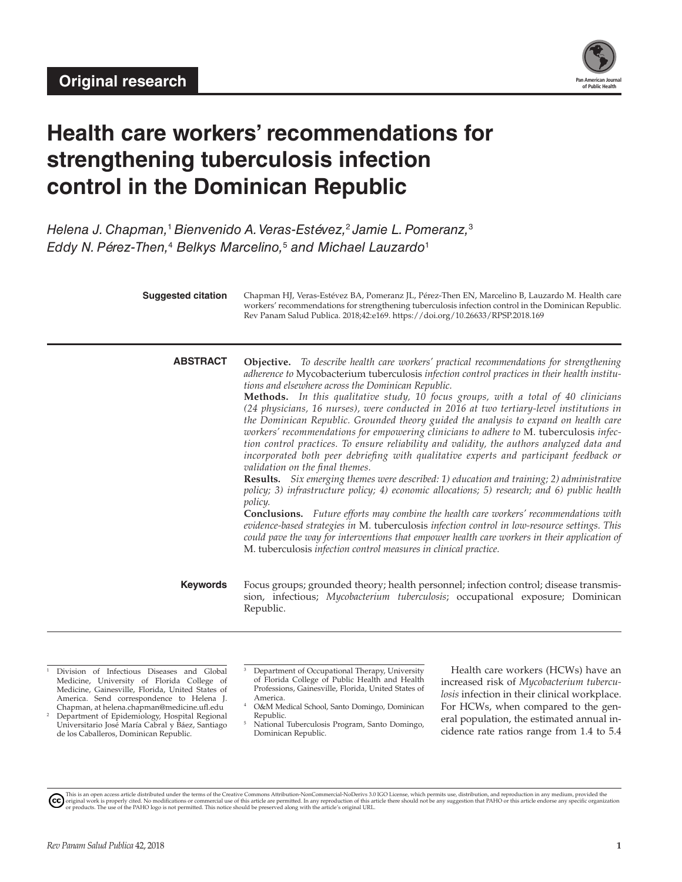

# **Health care workers' recommendations for strengthening tuberculosis infection control in the Dominican Republic**

*Helena J. Chapman,*<sup>1</sup> *Bienvenido A. Veras-Estévez,*<sup>2</sup> *Jamie L. Pomeranz,*<sup>3</sup> *Eddy N. Pérez-Then,*<sup>4</sup>  *Belkys Marcelino,*<sup>5</sup>  *and Michael Lauzardo*<sup>1</sup>

| <b>Suggested citation</b> | Chapman HJ, Veras-Estévez BA, Pomeranz JL, Pérez-Then EN, Marcelino B, Lauzardo M. Health care<br>workers' recommendations for strengthening tuberculosis infection control in the Dominican Republic.<br>Rev Panam Salud Publica. 2018;42:e169. https://doi.org/10.26633/RPSP.2018.169                                                                                                                                                                                                                                                                                                                                                                                                                                                                                                                                                                                                                                                                                                                                                                                                                                                                                                                                                                                                                                                                                                                                          |
|---------------------------|----------------------------------------------------------------------------------------------------------------------------------------------------------------------------------------------------------------------------------------------------------------------------------------------------------------------------------------------------------------------------------------------------------------------------------------------------------------------------------------------------------------------------------------------------------------------------------------------------------------------------------------------------------------------------------------------------------------------------------------------------------------------------------------------------------------------------------------------------------------------------------------------------------------------------------------------------------------------------------------------------------------------------------------------------------------------------------------------------------------------------------------------------------------------------------------------------------------------------------------------------------------------------------------------------------------------------------------------------------------------------------------------------------------------------------|
| <b>ABSTRACT</b>           | <b>Objective.</b> To describe health care workers' practical recommendations for strengthening<br>adherence to Mycobacterium tuberculosis infection control practices in their health institu-<br>tions and elsewhere across the Dominican Republic.<br>Methods. In this qualitative study, 10 focus groups, with a total of 40 clinicians<br>(24 physicians, 16 nurses), were conducted in 2016 at two tertiary-level institutions in<br>the Dominican Republic. Grounded theory guided the analysis to expand on health care<br>workers' recommendations for empowering clinicians to adhere to M. tuberculosis infec-<br>tion control practices. To ensure reliability and validity, the authors analyzed data and<br>incorporated both peer debriefing with qualitative experts and participant feedback or<br>validation on the final themes.<br>Results. Six emerging themes were described: 1) education and training; 2) administrative<br>policy; 3) infrastructure policy; 4) economic allocations; 5) research; and 6) public health<br>policy.<br><b>Conclusions.</b> Future efforts may combine the health care workers' recommendations with<br>evidence-based strategies in M. tuberculosis infection control in low-resource settings. This<br>could pave the way for interventions that empower health care workers in their application of<br>M. tuberculosis infection control measures in clinical practice. |
| <b>Keywords</b>           | Focus groups; grounded theory; health personnel; infection control; disease transmis-<br>sion, infectious; Mycobacterium tuberculosis; occupational exposure; Dominican<br>Republic.                                                                                                                                                                                                                                                                                                                                                                                                                                                                                                                                                                                                                                                                                                                                                                                                                                                                                                                                                                                                                                                                                                                                                                                                                                             |

<sup>1</sup> Division of Infectious Diseases and Global Medicine, University of Florida College of Medicine, Gainesville, Florida, United States of America. Send correspondence to Helena J. Chapman, at [helena.chapman@medicine.ufl.edu](mailto:helena.chapman@medicine.ufl.edu) <sup>2</sup> Department of Epidemiology, Hospital Regional

Universitario José María Cabral y Báez, Santiago de los Caballeros, Dominican Republic.

<sup>3</sup> Department of Occupational Therapy, University of Florida College of Public Health and Health Professions, Gainesville, Florida, United States of America.

- <sup>4</sup> O&M Medical School, Santo Domingo, Dominican Republic.
- <sup>5</sup> National Tuberculosis Program, Santo Domingo, Dominican Republic.

Health care workers (HCWs) have an increased risk of *Mycobacterium tuberculosis* infection in their clinical workplace. For HCWs, when compared to the general population, the estimated annual incidence rate ratios range from 1.4 to 5.4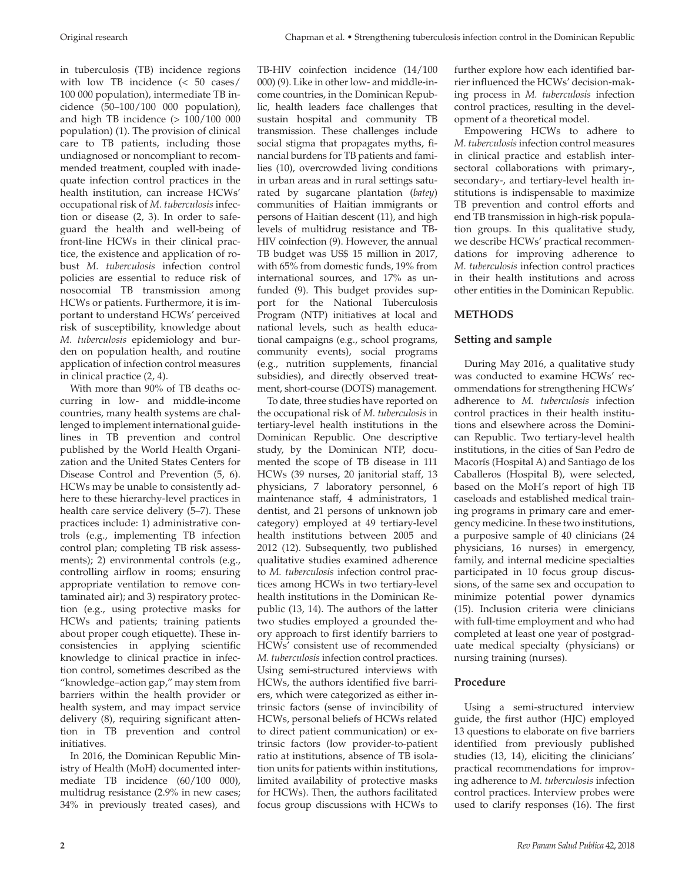in tuberculosis (TB) incidence regions with low TB incidence (< 50 cases/ 100 000 population), intermediate TB incidence (50–100/100 000 population), and high TB incidence  $(> 100/100 000$ population) (1). The provision of clinical care to TB patients, including those undiagnosed or noncompliant to recommended treatment, coupled with inadequate infection control practices in the health institution, can increase HCWs' occupational risk of *M. tuberculosis* infection or disease (2, 3). In order to safeguard the health and well-being of front-line HCWs in their clinical practice, the existence and application of robust *M. tuberculosis* infection control policies are essential to reduce risk of nosocomial TB transmission among HCWs or patients. Furthermore, it is important to understand HCWs' perceived risk of susceptibility, knowledge about *M. tuberculosis* epidemiology and burden on population health, and routine application of infection control measures in clinical practice (2, 4).

With more than 90% of TB deaths occurring in low- and middle-income countries, many health systems are challenged to implement international guidelines in TB prevention and control published by the World Health Organization and the United States Centers for Disease Control and Prevention (5, 6). HCWs may be unable to consistently adhere to these hierarchy-level practices in health care service delivery (5–7). These practices include: 1) administrative controls (e.g., implementing TB infection control plan; completing TB risk assessments); 2) environmental controls (e.g., controlling airflow in rooms; ensuring appropriate ventilation to remove contaminated air); and 3) respiratory protection (e.g., using protective masks for HCWs and patients; training patients about proper cough etiquette). These inconsistencies in applying scientific knowledge to clinical practice in infection control, sometimes described as the "knowledge–action gap," may stem from barriers within the health provider or health system, and may impact service delivery (8), requiring significant attention in TB prevention and control initiatives.

In 2016, the Dominican Republic Ministry of Health (MoH) documented intermediate TB incidence (60/100 000), multidrug resistance (2.9% in new cases; 34% in previously treated cases), and TB-HIV coinfection incidence (14/100 000) (9). Like in other low- and middle-income countries, in the Dominican Republic, health leaders face challenges that sustain hospital and community TB transmission. These challenges include social stigma that propagates myths, financial burdens for TB patients and families (10), overcrowded living conditions in urban areas and in rural settings saturated by sugarcane plantation (*batey*) communities of Haitian immigrants or persons of Haitian descent (11), and high levels of multidrug resistance and TB-HIV coinfection (9). However, the annual TB budget was US\$ 15 million in 2017, with 65% from domestic funds, 19% from international sources, and 17% as unfunded (9). This budget provides support for the National Tuberculosis Program (NTP) initiatives at local and national levels, such as health educational campaigns (e.g., school programs, community events), social programs (e.g., nutrition supplements, financial subsidies), and directly observed treatment, short-course (DOTS) management.

To date, three studies have reported on the occupational risk of *M. tuberculosis* in tertiary-level health institutions in the Dominican Republic. One descriptive study, by the Dominican NTP, documented the scope of TB disease in 111 HCWs (39 nurses, 20 janitorial staff, 13 physicians, 7 laboratory personnel, 6 maintenance staff, 4 administrators, 1 dentist, and 21 persons of unknown job category) employed at 49 tertiary-level health institutions between 2005 and 2012 (12). Subsequently, two published qualitative studies examined adherence to *M. tuberculosis* infection control practices among HCWs in two tertiary-level health institutions in the Dominican Republic (13, 14). The authors of the latter two studies employed a grounded theory approach to first identify barriers to HCWs' consistent use of recommended *M. tuberculosis* infection control practices. Using semi-structured interviews with HCWs, the authors identified five barriers, which were categorized as either intrinsic factors (sense of invincibility of HCWs, personal beliefs of HCWs related to direct patient communication) or extrinsic factors (low provider-to-patient ratio at institutions, absence of TB isolation units for patients within institutions, limited availability of protective masks for HCWs). Then, the authors facilitated focus group discussions with HCWs to

further explore how each identified barrier influenced the HCWs' decision-making process in *M. tuberculosis* infection control practices, resulting in the development of a theoretical model.

Empowering HCWs to adhere to *M. tuberculosis* infection control measures in clinical practice and establish intersectoral collaborations with primary-, secondary-, and tertiary-level health institutions is indispensable to maximize TB prevention and control efforts and end TB transmission in high-risk population groups. In this qualitative study, we describe HCWs' practical recommendations for improving adherence to *M. tuberculosis* infection control practices in their health institutions and across other entities in the Dominican Republic.

# **METHODS**

# **Setting and sample**

During May 2016, a qualitative study was conducted to examine HCWs' recommendations for strengthening HCWs' adherence to *M. tuberculosis* infection control practices in their health institutions and elsewhere across the Dominican Republic. Two tertiary-level health institutions, in the cities of San Pedro de Macorís (Hospital A) and Santiago de los Caballeros (Hospital B), were selected, based on the MoH's report of high TB caseloads and established medical training programs in primary care and emergency medicine. In these two institutions, a purposive sample of 40 clinicians (24 physicians, 16 nurses) in emergency, family, and internal medicine specialties participated in 10 focus group discussions, of the same sex and occupation to minimize potential power dynamics (15). Inclusion criteria were clinicians with full-time employment and who had completed at least one year of postgraduate medical specialty (physicians) or nursing training (nurses).

# **Procedure**

Using a semi-structured interview guide, the first author (HJC) employed 13 questions to elaborate on five barriers identified from previously published studies (13, 14), eliciting the clinicians' practical recommendations for improving adherence to *M. tuberculosis* infection control practices. Interview probes were used to clarify responses (16). The first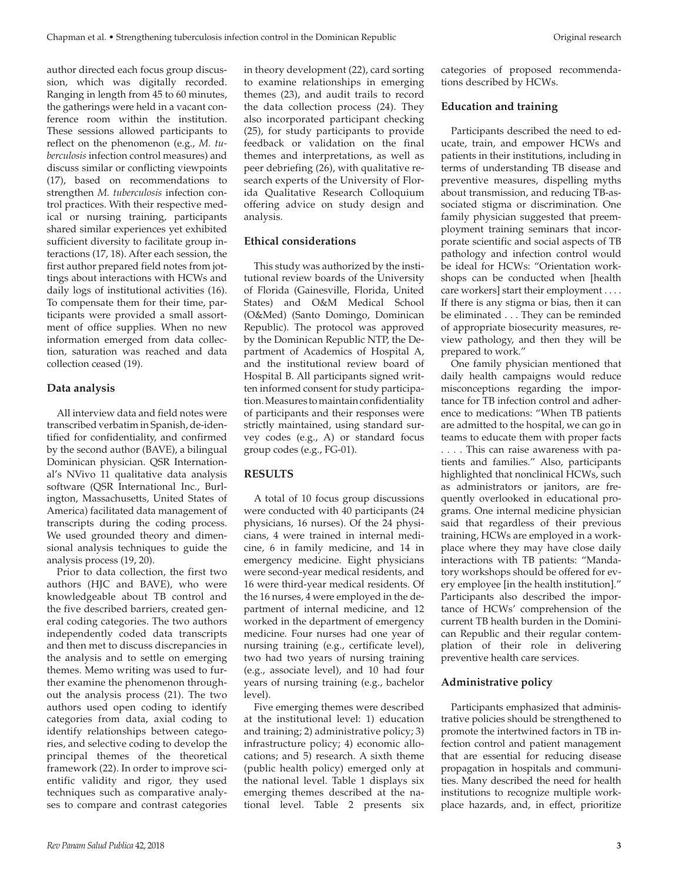author directed each focus group discussion, which was digitally recorded. Ranging in length from 45 to 60 minutes, the gatherings were held in a vacant conference room within the institution. These sessions allowed participants to reflect on the phenomenon (e.g., *M. tuberculosis* infection control measures) and discuss similar or conflicting viewpoints (17), based on recommendations to strengthen *M. tuberculosis* infection control practices. With their respective medical or nursing training, participants shared similar experiences yet exhibited sufficient diversity to facilitate group interactions (17, 18). After each session, the first author prepared field notes from jottings about interactions with HCWs and daily logs of institutional activities (16). To compensate them for their time, participants were provided a small assortment of office supplies. When no new information emerged from data collection, saturation was reached and data collection ceased (19).

### **Data analysis**

All interview data and field notes were transcribed verbatim in Spanish, de-identified for confidentiality, and confirmed by the second author (BAVE), a bilingual Dominican physician. QSR International's NVivo 11 qualitative data analysis software (QSR International Inc., Burlington, Massachusetts, United States of America) facilitated data management of transcripts during the coding process. We used grounded theory and dimensional analysis techniques to guide the analysis process (19, 20).

Prior to data collection, the first two authors (HJC and BAVE), who were knowledgeable about TB control and the five described barriers, created general coding categories. The two authors independently coded data transcripts and then met to discuss discrepancies in the analysis and to settle on emerging themes. Memo writing was used to further examine the phenomenon throughout the analysis process (21). The two authors used open coding to identify categories from data, axial coding to identify relationships between categories, and selective coding to develop the principal themes of the theoretical framework (22). In order to improve scientific validity and rigor, they used techniques such as comparative analyses to compare and contrast categories

in theory development (22), card sorting to examine relationships in emerging themes (23), and audit trails to record the data collection process (24). They also incorporated participant checking (25), for study participants to provide feedback or validation on the final themes and interpretations, as well as peer debriefing (26), with qualitative research experts of the University of Florida Qualitative Research Colloquium offering advice on study design and analysis.

### **Ethical considerations**

This study was authorized by the institutional review boards of the University of Florida (Gainesville, Florida, United States) and O&M Medical School (O&Med) (Santo Domingo, Dominican Republic). The protocol was approved by the Dominican Republic NTP, the Department of Academics of Hospital A, and the institutional review board of Hospital B. All participants signed written informed consent for study participation. Measures to maintain confidentiality of participants and their responses were strictly maintained, using standard survey codes (e.g., A) or standard focus group codes (e.g., FG-01).

#### **RESULTS**

A total of 10 focus group discussions were conducted with 40 participants (24 physicians, 16 nurses). Of the 24 physicians, 4 were trained in internal medicine, 6 in family medicine, and 14 in emergency medicine. Eight physicians were second-year medical residents, and 16 were third-year medical residents. Of the 16 nurses, 4 were employed in the department of internal medicine, and 12 worked in the department of emergency medicine. Four nurses had one year of nursing training (e.g., certificate level), two had two years of nursing training (e.g., associate level), and 10 had four years of nursing training (e.g., bachelor level).

Five emerging themes were described at the institutional level: 1) education and training; 2) administrative policy; 3) infrastructure policy; 4) economic allocations; and 5) research. A sixth theme (public health policy) emerged only at the national level. Table 1 displays six emerging themes described at the national level. Table 2 presents six

categories of proposed recommendations described by HCWs.

### **Education and training**

Participants described the need to educate, train, and empower HCWs and patients in their institutions, including in terms of understanding TB disease and preventive measures, dispelling myths about transmission, and reducing TB-associated stigma or discrimination. One family physician suggested that preemployment training seminars that incorporate scientific and social aspects of TB pathology and infection control would be ideal for HCWs: "Orientation workshops can be conducted when [health care workers] start their employment . . . . If there is any stigma or bias, then it can be eliminated . . . They can be reminded of appropriate biosecurity measures, review pathology, and then they will be prepared to work."

One family physician mentioned that daily health campaigns would reduce misconceptions regarding the importance for TB infection control and adherence to medications: "When TB patients are admitted to the hospital, we can go in teams to educate them with proper facts . . . . This can raise awareness with patients and families." Also, participants highlighted that nonclinical HCWs, such as administrators or janitors, are frequently overlooked in educational programs. One internal medicine physician said that regardless of their previous training, HCWs are employed in a workplace where they may have close daily interactions with TB patients: "Mandatory workshops should be offered for every employee [in the health institution]." Participants also described the importance of HCWs' comprehension of the current TB health burden in the Dominican Republic and their regular contemplation of their role in delivering preventive health care services.

#### **Administrative policy**

Participants emphasized that administrative policies should be strengthened to promote the intertwined factors in TB infection control and patient management that are essential for reducing disease propagation in hospitals and communities. Many described the need for health institutions to recognize multiple workplace hazards, and, in effect, prioritize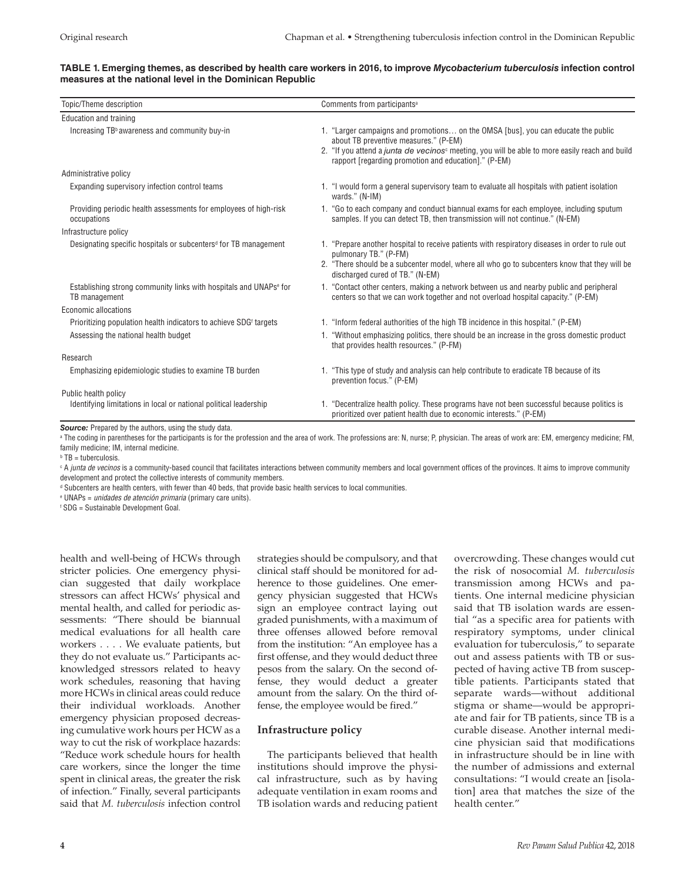#### **TABLE 1. Emerging themes, as described by health care workers in 2016, to improve** *Mycobacterium tuberculosis* **infection control measures at the national level in the Dominican Republic**

| Topic/Theme description                                                                                               | Comments from participants <sup>a</sup>                                                                                                                                                                                                                                                                 |
|-----------------------------------------------------------------------------------------------------------------------|---------------------------------------------------------------------------------------------------------------------------------------------------------------------------------------------------------------------------------------------------------------------------------------------------------|
| Education and training                                                                                                |                                                                                                                                                                                                                                                                                                         |
| Increasing TB <sup>b</sup> awareness and community buy-in                                                             | 1. "Larger campaigns and promotions on the OMSA [bus], you can educate the public<br>about TB preventive measures." (P-EM)<br>2. "If you attend a <i>junta de vecinos</i> <sup>c</sup> meeting, you will be able to more easily reach and build<br>rapport [regarding promotion and education]." (P-EM) |
| Administrative policy                                                                                                 |                                                                                                                                                                                                                                                                                                         |
| Expanding supervisory infection control teams                                                                         | 1. "I would form a general supervisory team to evaluate all hospitals with patient isolation<br>wards." (N-IM)                                                                                                                                                                                          |
| Providing periodic health assessments for employees of high-risk<br>occupations                                       | 1. "Go to each company and conduct biannual exams for each employee, including sputum<br>samples. If you can detect TB, then transmission will not continue." (N-EM)                                                                                                                                    |
| Infrastructure policy                                                                                                 |                                                                                                                                                                                                                                                                                                         |
| Designating specific hospitals or subcenters <sup>d</sup> for TB management                                           | 1. "Prepare another hospital to receive patients with respiratory diseases in order to rule out<br>pulmonary TB." (P-FM)<br>2. "There should be a subcenter model, where all who go to subcenters know that they will be<br>discharged cured of TB." (N-EM)                                             |
| Establishing strong community links with hospitals and UNAPs <sup>e</sup> for<br>TB management                        | 1. "Contact other centers, making a network between us and nearby public and peripheral<br>centers so that we can work together and not overload hospital capacity." (P-EM)                                                                                                                             |
| Economic allocations                                                                                                  |                                                                                                                                                                                                                                                                                                         |
| Prioritizing population health indicators to achieve SDG <sup>t</sup> targets<br>Assessing the national health budget | 1. "Inform federal authorities of the high TB incidence in this hospital." (P-EM)<br>1. "Without emphasizing politics, there should be an increase in the gross domestic product<br>that provides health resources." (P-FM)                                                                             |
| Research                                                                                                              |                                                                                                                                                                                                                                                                                                         |
| Emphasizing epidemiologic studies to examine TB burden                                                                | 1. "This type of study and analysis can help contribute to eradicate TB because of its<br>prevention focus." (P-EM)                                                                                                                                                                                     |
| Public health policy<br>Identifying limitations in local or national political leadership                             | 1. "Decentralize health policy. These programs have not been successful because politics is<br>prioritized over patient health due to economic interests." (P-EM)                                                                                                                                       |
| <b>Source:</b> Prepared by the authors, using the study data.                                                         |                                                                                                                                                                                                                                                                                                         |

 $^{\rm a}$  The coding in parentheses for the participants is for the profession and the area of work. The professions are: N, nurse; P, physician. The areas of work are: EM, emergency medicine; FM, family medicine; IM, internal medicine.

b TB = tuberculosis.

 $^{\circ}$  A *junta de vecinos* is a community-based council that facilitates interactions between community members and local government offices of the provinces. It aims to improve community development and protect the collective interests of community members.

d Subcenters are health centers, with fewer than 40 beds, that provide basic health services to local communities.

e UNAPs = *unidades de atención primaria* (primary care units).

f SDG = Sustainable Development Goal.

health and well-being of HCWs through stricter policies. One emergency physician suggested that daily workplace stressors can affect HCWs' physical and mental health, and called for periodic assessments: "There should be biannual medical evaluations for all health care workers . . . . We evaluate patients, but they do not evaluate us." Participants acknowledged stressors related to heavy work schedules, reasoning that having more HCWs in clinical areas could reduce their individual workloads. Another emergency physician proposed decreasing cumulative work hours per HCW as a way to cut the risk of workplace hazards: "Reduce work schedule hours for health care workers, since the longer the time spent in clinical areas, the greater the risk of infection." Finally, several participants said that *M. tuberculosis* infection control

strategies should be compulsory, and that clinical staff should be monitored for adherence to those guidelines. One emergency physician suggested that HCWs sign an employee contract laying out graded punishments, with a maximum of three offenses allowed before removal from the institution: "An employee has a first offense, and they would deduct three pesos from the salary. On the second offense, they would deduct a greater amount from the salary. On the third offense, the employee would be fired."

# **Infrastructure policy**

The participants believed that health institutions should improve the physical infrastructure, such as by having adequate ventilation in exam rooms and TB isolation wards and reducing patient overcrowding. These changes would cut the risk of nosocomial *M. tuberculosis* transmission among HCWs and patients. One internal medicine physician said that TB isolation wards are essential "as a specific area for patients with respiratory symptoms, under clinical evaluation for tuberculosis," to separate out and assess patients with TB or suspected of having active TB from susceptible patients. Participants stated that separate wards—without additional stigma or shame—would be appropriate and fair for TB patients, since TB is a curable disease. Another internal medicine physician said that modifications in infrastructure should be in line with the number of admissions and external consultations: "I would create an [isolation] area that matches the size of the health center."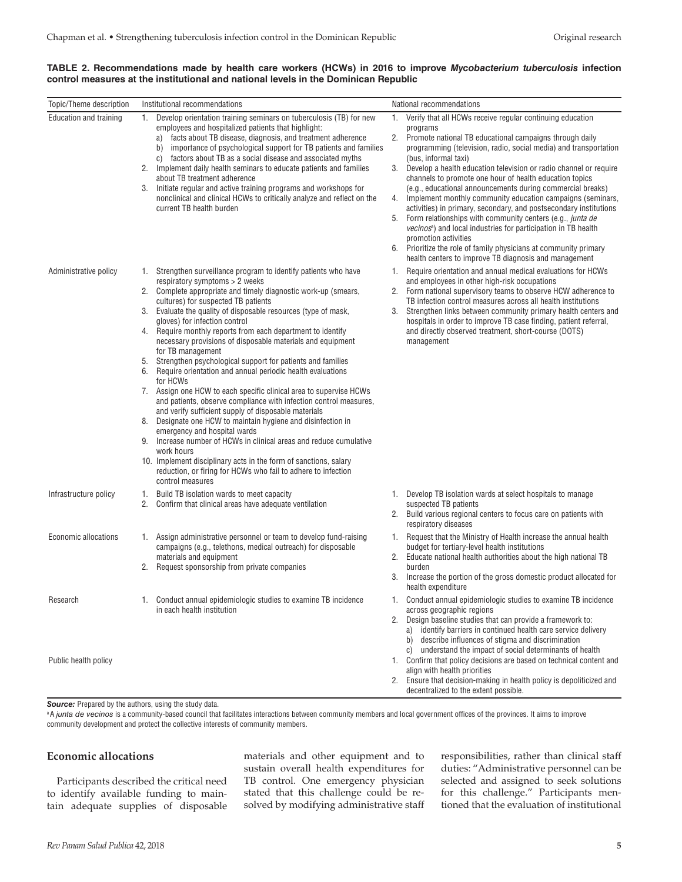| TABLE 2. Recommendations made by health care workers (HCWs) in 2016 to improve Mycobacterium tuberculosis infection |  |  |  |  |  |  |  |
|---------------------------------------------------------------------------------------------------------------------|--|--|--|--|--|--|--|
| control measures at the institutional and national levels in the Dominican Republic                                 |  |  |  |  |  |  |  |

| Topic/Theme description          | Institutional recommendations                                                                                                                                                                                                                                                                                                                                                                                                                                                                                                                                                                                                                                                                                                                                                                                                                                                                                                                                                                                                                                                                                                                                                    | National recommendations                                                                                                                                                                                                                                                                                                                                                                                                                                                                                                                                                                                                                                                                                                                                                                                                                                                              |
|----------------------------------|----------------------------------------------------------------------------------------------------------------------------------------------------------------------------------------------------------------------------------------------------------------------------------------------------------------------------------------------------------------------------------------------------------------------------------------------------------------------------------------------------------------------------------------------------------------------------------------------------------------------------------------------------------------------------------------------------------------------------------------------------------------------------------------------------------------------------------------------------------------------------------------------------------------------------------------------------------------------------------------------------------------------------------------------------------------------------------------------------------------------------------------------------------------------------------|---------------------------------------------------------------------------------------------------------------------------------------------------------------------------------------------------------------------------------------------------------------------------------------------------------------------------------------------------------------------------------------------------------------------------------------------------------------------------------------------------------------------------------------------------------------------------------------------------------------------------------------------------------------------------------------------------------------------------------------------------------------------------------------------------------------------------------------------------------------------------------------|
| Education and training           | Develop orientation training seminars on tuberculosis (TB) for new<br>1.<br>employees and hospitalized patients that highlight:<br>facts about TB disease, diagnosis, and treatment adherence<br>a)<br>importance of psychological support for TB patients and families<br>b)<br>c) factors about TB as a social disease and associated myths<br>Implement daily health seminars to educate patients and families<br>2.<br>about TB treatment adherence<br>3. Initiate regular and active training programs and workshops for<br>nonclinical and clinical HCWs to critically analyze and reflect on the<br>current TB health burden                                                                                                                                                                                                                                                                                                                                                                                                                                                                                                                                              | 1. Verify that all HCWs receive regular continuing education<br>programs<br>2. Promote national TB educational campaigns through daily<br>programming (television, radio, social media) and transportation<br>(bus, informal taxi)<br>3.<br>Develop a health education television or radio channel or require<br>channels to promote one hour of health education topics<br>(e.g., educational announcements during commercial breaks)<br>4.<br>Implement monthly community education campaigns (seminars,<br>activities) in primary, secondary, and postsecondary institutions<br>Form relationships with community centers (e.g., junta de<br>5.<br>vecinos <sup>a</sup> ) and local industries for participation in TB health<br>promotion activities<br>6. Prioritize the role of family physicians at community primary<br>health centers to improve TB diagnosis and management |
| Administrative policy            | Strengthen surveillance program to identify patients who have<br>1.<br>respiratory symptoms > 2 weeks<br>2.<br>Complete appropriate and timely diagnostic work-up (smears,<br>cultures) for suspected TB patients<br>Evaluate the quality of disposable resources (type of mask,<br>3.<br>gloves) for infection control<br>4. Require monthly reports from each department to identify<br>necessary provisions of disposable materials and equipment<br>for TB management<br>Strengthen psychological support for patients and families<br>5.<br>Require orientation and annual periodic health evaluations<br>6.<br>for HCWs<br>7. Assign one HCW to each specific clinical area to supervise HCWs<br>and patients, observe compliance with infection control measures,<br>and verify sufficient supply of disposable materials<br>8.<br>Designate one HCW to maintain hygiene and disinfection in<br>emergency and hospital wards<br>9. Increase number of HCWs in clinical areas and reduce cumulative<br>work hours<br>10. Implement disciplinary acts in the form of sanctions, salary<br>reduction, or firing for HCWs who fail to adhere to infection<br>control measures | Require orientation and annual medical evaluations for HCWs<br>1.<br>and employees in other high-risk occupations<br>Form national supervisory teams to observe HCW adherence to<br>2.<br>TB infection control measures across all health institutions<br>Strengthen links between community primary health centers and<br>3.<br>hospitals in order to improve TB case finding, patient referral,<br>and directly observed treatment, short-course (DOTS)<br>management                                                                                                                                                                                                                                                                                                                                                                                                               |
| Infrastructure policy            | Build TB isolation wards to meet capacity<br>1.<br>2.<br>Confirm that clinical areas have adequate ventilation                                                                                                                                                                                                                                                                                                                                                                                                                                                                                                                                                                                                                                                                                                                                                                                                                                                                                                                                                                                                                                                                   | 1. Develop TB isolation wards at select hospitals to manage<br>suspected TB patients<br>2.<br>Build various regional centers to focus care on patients with<br>respiratory diseases                                                                                                                                                                                                                                                                                                                                                                                                                                                                                                                                                                                                                                                                                                   |
| Economic allocations             | 1. Assign administrative personnel or team to develop fund-raising<br>campaigns (e.g., telethons, medical outreach) for disposable<br>materials and equipment<br>Request sponsorship from private companies<br>2.                                                                                                                                                                                                                                                                                                                                                                                                                                                                                                                                                                                                                                                                                                                                                                                                                                                                                                                                                                | 1. Request that the Ministry of Health increase the annual health<br>budget for tertiary-level health institutions<br>Educate national health authorities about the high national TB<br>2.<br>burden<br>Increase the portion of the gross domestic product allocated for<br>3.<br>health expenditure                                                                                                                                                                                                                                                                                                                                                                                                                                                                                                                                                                                  |
| Research<br>Public health policy | 1. Conduct annual epidemiologic studies to examine TB incidence<br>in each health institution                                                                                                                                                                                                                                                                                                                                                                                                                                                                                                                                                                                                                                                                                                                                                                                                                                                                                                                                                                                                                                                                                    | 1. Conduct annual epidemiologic studies to examine TB incidence<br>across geographic regions<br>2. Design baseline studies that can provide a framework to:<br>a) identify barriers in continued health care service delivery<br>b) describe influences of stigma and discrimination<br>c) understand the impact of social determinants of health<br>1. Confirm that policy decisions are based on technical content and<br>align with health priorities<br>Ensure that decision-making in health policy is depoliticized and<br>2.<br>decentralized to the extent possible.                                                                                                                                                                                                                                                                                                          |

*Source:* Prepared by the authors, using the study data.

<sup>a</sup> A junta de vecinos is a community-based council that facilitates interactions between community members and local government offices of the provinces. It aims to improve community development and protect the collective interests of community members.

# **Economic allocations**

Participants described the critical need to identify available funding to maintain adequate supplies of disposable materials and other equipment and to sustain overall health expenditures for TB control. One emergency physician stated that this challenge could be resolved by modifying administrative staff responsibilities, rather than clinical staff duties: "Administrative personnel can be selected and assigned to seek solutions for this challenge." Participants mentioned that the evaluation of institutional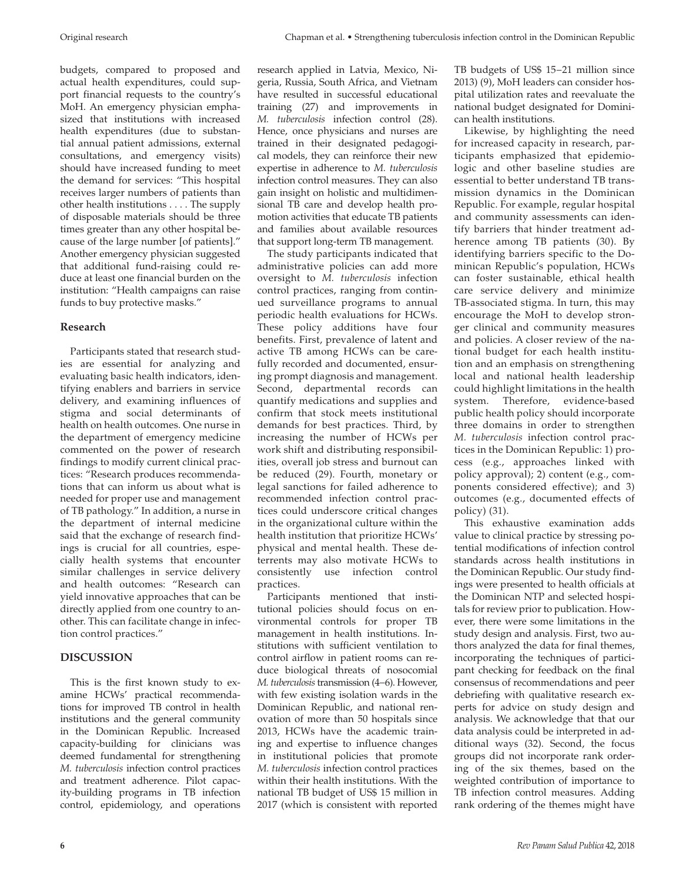budgets, compared to proposed and actual health expenditures, could support financial requests to the country's MoH. An emergency physician emphasized that institutions with increased health expenditures (due to substantial annual patient admissions, external consultations, and emergency visits) should have increased funding to meet the demand for services: "This hospital receives larger numbers of patients than other health institutions . . . . The supply of disposable materials should be three times greater than any other hospital because of the large number [of patients]." Another emergency physician suggested that additional fund-raising could reduce at least one financial burden on the institution: "Health campaigns can raise funds to buy protective masks."

# **Research**

Participants stated that research studies are essential for analyzing and evaluating basic health indicators, identifying enablers and barriers in service delivery, and examining influences of stigma and social determinants of health on health outcomes. One nurse in the department of emergency medicine commented on the power of research findings to modify current clinical practices: "Research produces recommendations that can inform us about what is needed for proper use and management of TB pathology." In addition, a nurse in the department of internal medicine said that the exchange of research findings is crucial for all countries, especially health systems that encounter similar challenges in service delivery and health outcomes: "Research can yield innovative approaches that can be directly applied from one country to another. This can facilitate change in infection control practices."

# **DISCUSSION**

This is the first known study to examine HCWs' practical recommendations for improved TB control in health institutions and the general community in the Dominican Republic. Increased capacity-building for clinicians was deemed fundamental for strengthening *M. tuberculosis* infection control practices and treatment adherence. Pilot capacity-building programs in TB infection control, epidemiology, and operations

research applied in Latvia, Mexico, Nigeria, Russia, South Africa, and Vietnam have resulted in successful educational training (27) and improvements in *M. tuberculosis* infection control (28). Hence, once physicians and nurses are trained in their designated pedagogical models, they can reinforce their new expertise in adherence to *M. tuberculosis* infection control measures. They can also gain insight on holistic and multidimensional TB care and develop health promotion activities that educate TB patients and families about available resources that support long-term TB management.

The study participants indicated that administrative policies can add more oversight to *M. tuberculosis* infection control practices, ranging from continued surveillance programs to annual periodic health evaluations for HCWs. These policy additions have four benefits. First, prevalence of latent and active TB among HCWs can be carefully recorded and documented, ensuring prompt diagnosis and management. Second, departmental records can quantify medications and supplies and confirm that stock meets institutional demands for best practices. Third, by increasing the number of HCWs per work shift and distributing responsibilities, overall job stress and burnout can be reduced (29). Fourth, monetary or legal sanctions for failed adherence to recommended infection control practices could underscore critical changes in the organizational culture within the health institution that prioritize HCWs' physical and mental health. These deterrents may also motivate HCWs to consistently use infection control practices.

Participants mentioned that institutional policies should focus on environmental controls for proper TB management in health institutions. Institutions with sufficient ventilation to control airflow in patient rooms can reduce biological threats of nosocomial *M. tuberculosis* transmission (4−6). However, with few existing isolation wards in the Dominican Republic, and national renovation of more than 50 hospitals since 2013, HCWs have the academic training and expertise to influence changes in institutional policies that promote *M. tuberculosis* infection control practices within their health institutions. With the national TB budget of US\$ 15 million in 2017 (which is consistent with reported TB budgets of US\$ 15−21 million since 2013) (9), MoH leaders can consider hospital utilization rates and reevaluate the national budget designated for Dominican health institutions.

Likewise, by highlighting the need for increased capacity in research, participants emphasized that epidemiologic and other baseline studies are essential to better understand TB transmission dynamics in the Dominican Republic. For example, regular hospital and community assessments can identify barriers that hinder treatment adherence among TB patients (30). By identifying barriers specific to the Dominican Republic's population, HCWs can foster sustainable, ethical health care service delivery and minimize TB-associated stigma. In turn, this may encourage the MoH to develop stronger clinical and community measures and policies. A closer review of the national budget for each health institution and an emphasis on strengthening local and national health leadership could highlight limitations in the health system. Therefore, evidence-based public health policy should incorporate three domains in order to strengthen *M. tuberculosis* infection control practices in the Dominican Republic: 1) process (e.g., approaches linked with policy approval); 2) content (e.g., components considered effective); and 3) outcomes (e.g., documented effects of policy) (31).

This exhaustive examination adds value to clinical practice by stressing potential modifications of infection control standards across health institutions in the Dominican Republic. Our study findings were presented to health officials at the Dominican NTP and selected hospitals for review prior to publication. However, there were some limitations in the study design and analysis. First, two authors analyzed the data for final themes, incorporating the techniques of participant checking for feedback on the final consensus of recommendations and peer debriefing with qualitative research experts for advice on study design and analysis. We acknowledge that that our data analysis could be interpreted in additional ways (32). Second, the focus groups did not incorporate rank ordering of the six themes, based on the weighted contribution of importance to TB infection control measures. Adding rank ordering of the themes might have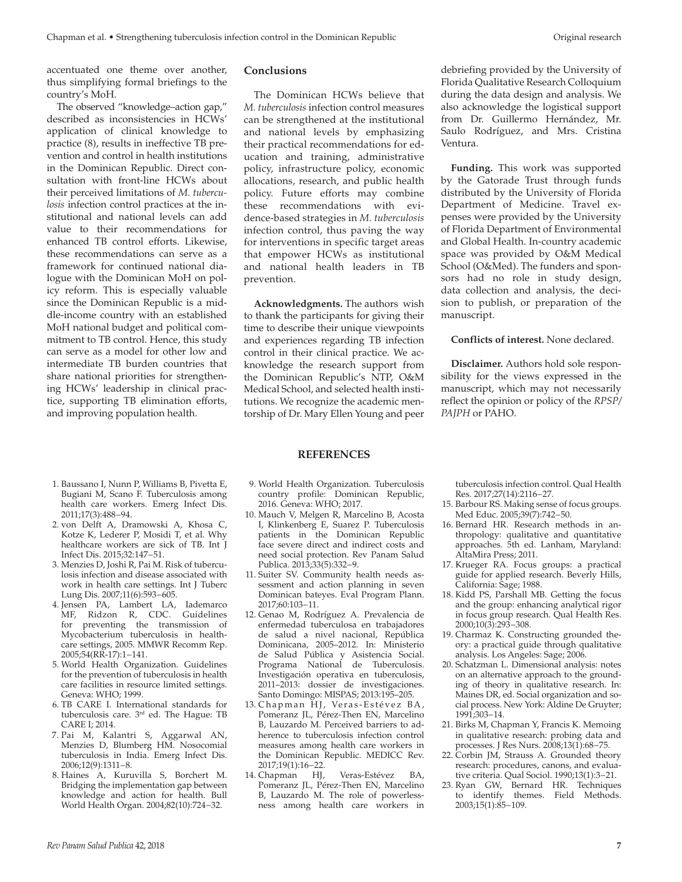accentuated one theme over another, thus simplifying formal briefings to the country's MoH.

The observed "knowledge–action gap," described as inconsistencies in HCWs' application of clinical knowledge to practice (8), results in ineffective TB prevention and control in health institutions in the Dominican Republic. Direct consultation with front-line HCWs about their perceived limitations of *M. tuberculosis* infection control practices at the institutional and national levels can add value to their recommendations for enhanced TB control efforts. Likewise, these recommendations can serve as a framework for continued national dialogue with the Dominican MoH on policy reform. This is especially valuable since the Dominican Republic is a middle-income country with an established MoH national budget and political commitment to TB control. Hence, this study can serve as a model for other low and intermediate TB burden countries that share national priorities for strengthening HCWs' leadership in clinical practice, supporting TB elimination efforts, and improving population health.

# **Conclusions**

The Dominican HCWs believe that *M. tuberculosis* infection control measures can be strengthened at the institutional and national levels by emphasizing their practical recommendations for education and training, administrative policy, infrastructure policy, economic allocations, research, and public health policy. Future efforts may combine these recommendations with evidence-based strategies in *M. tuberculosis* infection control, thus paving the way for interventions in specific target areas that empower HCWs as institutional and national health leaders in TB prevention.

**Acknowledgments.** Theauthors wish to thank the participants for giving their time to describe their unique viewpoints and experiences regarding TB infection control in their clinical practice. We acknowledge the research support from the Dominican Republic's NTP, O&M Medical School, and selected health institutions. We recognize the academic mentorship of Dr. Mary Ellen Young and peer

debriefing provided by the University of Florida Qualitative Research Colloquium during the data design and analysis. We also acknowledge the logistical support from Dr. Guillermo Hernández, Mr. Saulo Rodríguez, and Mrs. Cristina Ventura.

**Funding.** This work was supported by the Gatorade Trust through funds distributed by the University of Florida Department of Medicine. Travel expenses were provided by the University of Florida Department of Environmental and Global Health. In-country academic space was provided by O&M Medical School (O&Med). The funders and sponsors had no role in study design, data collection and analysis, the decision to publish, or preparation of the manuscript.

#### **Conflicts of interest.** None declared.

**Disclaimer.** Authors hold sole responsibility for the views expressed in the manuscript, which may not necessarily reflect the opinion or policy of the *RPSP/ PAJPH* or PAHO.

- 1. Baussano I, Nunn P, Williams B, Pivetta E, Bugiani M, Scano F. Tuberculosis among health care workers. Emerg Infect Dis. 2011;17(3):488−94.
- 2. von Delft A, Dramowski A, Khosa C, Kotze K, Lederer P, Mosidi T, et al. Why healthcare workers are sick of TB. Int J Infect Dis. 2015;32:147−51.
- 3. Menzies D, Joshi R, Pai M. Risk of tuberculosis infection and disease associated with work in health care settings. Int J Tuberc Lung Dis. 2007;11(6):593−605.
- 4. Jensen PA, Lambert LA, Iademarco MF, Ridzon R, CDC. Guidelines for preventing the transmission of Mycobacterium tuberculosis in healthcare settings, 2005. MMWR Recomm Rep. 2005;54(RR-17):1−141.
- 5. World Health Organization. Guidelines for the prevention of tuberculosis in health care facilities in resource limited settings. Geneva: WHO; 1999.
- 6. TB CARE I. International standards for tuberculosis care. 3rd ed. The Hague: TB CARE I; 2014.
- 7. Pai M, Kalantri S, Aggarwal AN, Menzies D, Blumberg HM. Nosocomial tuberculosis in India. Emerg Infect Dis. 2006;12(9):1311−8.
- 8. Haines A, Kuruvilla S, Borchert M. Bridging the implementation gap between knowledge and action for health. Bull World Health Organ. 2004;82(10):724−32.

9. World Health Organization. Tuberculosis country profile: Dominican Republic, 2016. Geneva: WHO; 2017.

**REFERENCES**

- 10. Mauch V, Melgen R, Marcelino B, Acosta I, Klinkenberg E, Suarez P. Tuberculosis patients in the Dominican Republic face severe direct and indirect costs and need social protection. Rev Panam Salud Publica. 2013;33(5):332−9.
- 11. Suiter SV. Community health needs assessment and action planning in seven Dominican bateyes. Eval Program Plann. 2017;60:103−11.
- 12. Genao M, Rodríguez A. Prevalencia de enfermedad tuberculosa en trabajadores de salud a nivel nacional, República Dominicana, 2005–2012. In: Ministerio de Salud Pública y Asistencia Social. Programa National de Tuberculosis. Investigación operativa en tuberculosis, 2011–2013: dossier de investigaciones. Santo Domingo: MISPAS; 2013:195–205.
- 13. Chapman HJ, Veras-Estévez BA, Pomeranz JL, Pérez-Then EN, Marcelino B, Lauzardo M. Perceived barriers to adherence to tuberculosis infection control measures among health care workers in the Dominican Republic. MEDICC Rev. 2017;19(1):16−22.
- 14. Chapman HJ, Veras-Estévez BA, Pomeranz JL, Pérez-Then EN, Marcelino B, Lauzardo M. The role of powerlessness among health care workers in

tuberculosis infection control. Qual Health Res. 2017;27(14):2116−27.

- 15. Barbour RS. Making sense of focus groups. Med Educ. 2005;39(7):742−50.
- 16. Bernard HR. Research methods in anthropology: qualitative and quantitative approaches. 5th ed. Lanham, Maryland: AltaMira Press; 2011.
- 17. Krueger RA. Focus groups: a practical guide for applied research. Beverly Hills, California: Sage; 1988.
- 18. Kidd PS, Parshall MB. Getting the focus and the group: enhancing analytical rigor in focus group research. Qual Health Res. 2000;10(3):293−308.
- 19. Charmaz K. Constructing grounded theory: a practical guide through qualitative analysis. Los Angeles: Sage; 2006.
- 20. Schatzman L. Dimensional analysis: notes on an alternative approach to the grounding of theory in qualitative research. In: Maines DR, ed. Social organization and social process. New York: Aldine De Gruyter; 1991;303−14.
- 21. Birks M, Chapman Y, Francis K. Memoing in qualitative research: probing data and processes. J Res Nurs. 2008;13(1):68−75.
- 22. Corbin JM, Strauss A. Grounded theory research: procedures, canons, and evaluative criteria. Qual Sociol. 1990;13(1):3−21.
- 23. Ryan GW, Bernard HR. Techniques to identify themes. Field Methods. 2003;15(1):85−109.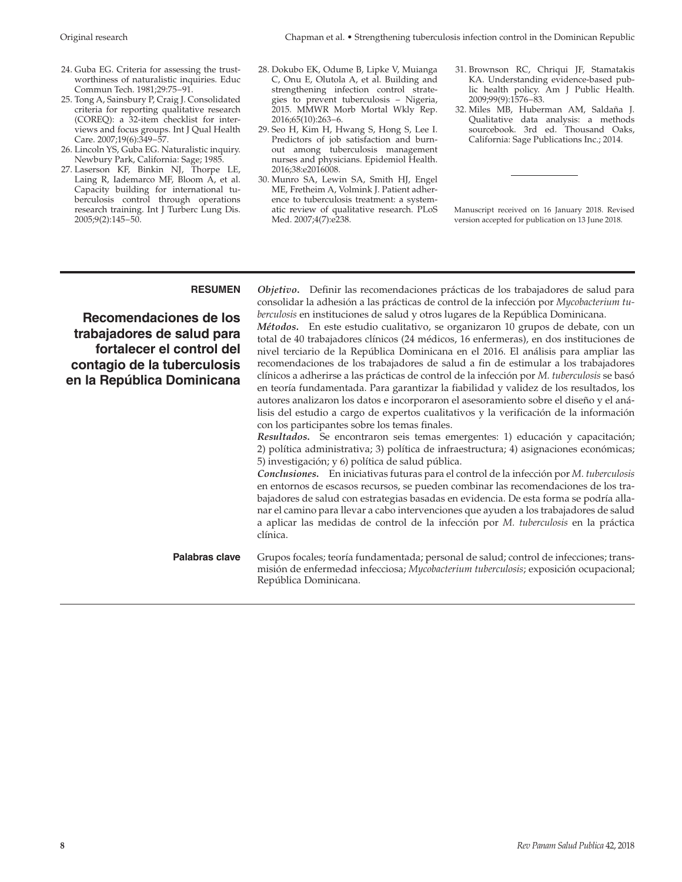- 24. Guba EG. Criteria for assessing the trustworthiness of naturalistic inquiries. Educ Commun Tech. 1981;29:75−91.
- 25. Tong A, Sainsbury P, Craig J. Consolidated criteria for reporting qualitative research (COREQ): a 32-item checklist for interviews and focus groups. Int J Qual Health Care. 2007;19(6):349−57.
- 26. Lincoln YS, Guba EG. Naturalistic inquiry. Newbury Park, California: Sage; 1985.
- 27. Laserson KF, Binkin NJ, Thorpe LE, Laing R, Iademarco MF, Bloom A, et al. Capacity building for international tuberculosis control through operations research training. Int J Turberc Lung Dis. 2005;9(2):145−50.
- 28. Dokubo EK, Odume B, Lipke V, Muianga C, Onu E, Olutola A, et al. Building and strengthening infection control strategies to prevent tuberculosis – Nigeria, 2015. MMWR Morb Mortal Wkly Rep. 2016;65(10):263−6.
- 29. Seo H, Kim H, Hwang S, Hong S, Lee I. Predictors of job satisfaction and burnout among tuberculosis management nurses and physicians. Epidemiol Health. 2016;38:e2016008.
- 30. Munro SA, Lewin SA, Smith HJ, Engel ME, Fretheim A, Volmink J. Patient adherence to tuberculosis treatment: a systematic review of qualitative research. PLoS Med. 2007;4(7):e238.
- 31. Brownson RC, Chriqui JF, Stamatakis KA. Understanding evidence-based public health policy. Am J Public Health. 2009;99(9):1576−83.
- 32. Miles MB, Huberman AM, Saldaña J. Qualitative data analysis: a methods sourcebook. 3rd ed. Thousand Oaks, California: Sage Publications Inc.; 2014.

Manuscript received on 16 January 2018. Revised version accepted for publication on 13 June 2018.

**Recomendaciones de los trabajadores de salud para fortalecer el control del contagio de la tuberculosis en la República Dominicana**

**RESUMEN** *Objetivo***.** Definir las recomendaciones prácticas de los trabajadores de salud para consolidar la adhesión a las prácticas de control de la infección por *Mycobacterium tuberculosis* en instituciones de salud y otros lugares de la República Dominicana.

*Métodos***.** En este estudio cualitativo, se organizaron 10 grupos de debate, con un total de 40 trabajadores clínicos (24 médicos, 16 enfermeras), en dos instituciones de nivel terciario de la República Dominicana en el 2016. El análisis para ampliar las recomendaciones de los trabajadores de salud a fin de estimular a los trabajadores clínicos a adherirse a las prácticas de control de la infección por *M. tuberculosis* se basó en teoría fundamentada. Para garantizar la fiabilidad y validez de los resultados, los autores analizaron los datos e incorporaron el asesoramiento sobre el diseño y el análisis del estudio a cargo de expertos cualitativos y la verificación de la información con los participantes sobre los temas finales.

*Resultados***.** Se encontraron seis temas emergentes: 1) educación y capacitación; 2) política administrativa; 3) política de infraestructura; 4) asignaciones económicas; 5) investigación; y 6) política de salud pública.

*Conclusiones***.** En iniciativas futuras para el control de la infección por *M. tuberculosis* en entornos de escasos recursos, se pueden combinar las recomendaciones de los trabajadores de salud con estrategias basadas en evidencia. De esta forma se podría allanar el camino para llevar a cabo intervenciones que ayuden a los trabajadores de salud a aplicar las medidas de control de la infección por *M. tuberculosis* en la práctica clínica.

**Palabras clave** Grupos focales; teoría fundamentada; personal de salud; control de infecciones; transmisión de enfermedad infecciosa; *Mycobacterium tuberculosis*; exposición ocupacional; República Dominicana.